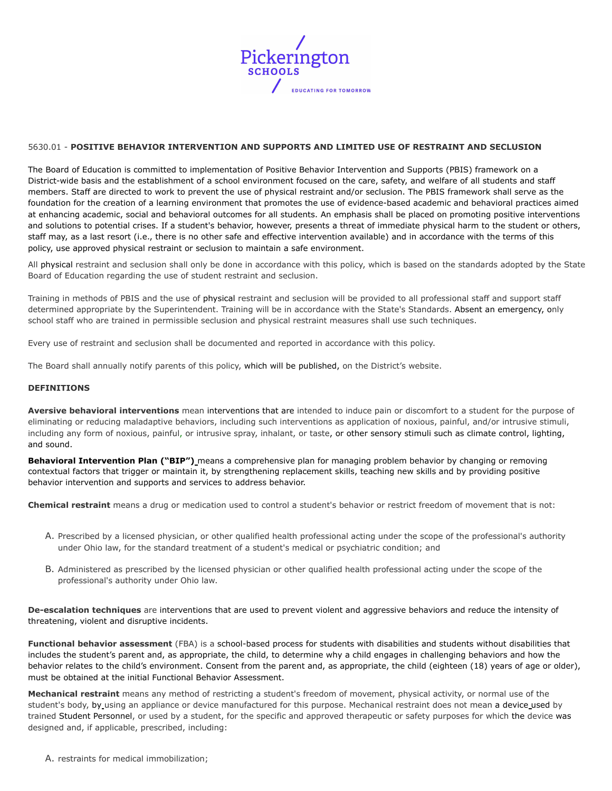

## 5630.01 - **POSITIVE BEHAVIOR INTERVENTION AND SUPPORTS AND LIMITED USE OF RESTRAINT AND SECLUSION**

The Board of Education is committed to implementation of Positive Behavior Intervention and Supports (PBIS) framework on a District-wide basis and the establishment of a school environment focused on the care, safety, and welfare of all students and staff members. Staff are directed to work to prevent the use of physical restraint and/or seclusion. The PBIS framework shall serve as the foundation for the creation of a learning environment that promotes the use of evidence-based academic and behavioral practices aimed at enhancing academic, social and behavioral outcomes for all students. An emphasis shall be placed on promoting positive interventions and solutions to potential crises. If a student's behavior, however, presents a threat of immediate physical harm to the student or others, staff may, as a last resort (i.e., there is no other safe and effective intervention available) and in accordance with the terms of this policy, use approved physical restraint or seclusion to maintain a safe environment.

All physical restraint and seclusion shall only be done in accordance with this policy, which is based on the standards adopted by the State Board of Education regarding the use of student restraint and seclusion.

Training in methods of PBIS and the use of physical restraint and seclusion will be provided to all professional staff and support staff determined appropriate by the Superintendent. Training will be in accordance with the State's Standards. Absent an emergency, only school staff who are trained in permissible seclusion and physical restraint measures shall use such techniques.

Every use of restraint and seclusion shall be documented and reported in accordance with this policy.

The Board shall annually notify parents of this policy, which will be published, on the District's website.

### **DEFINITIONS**

**Aversive behavioral interventions** mean interventions that are intended to induce pain or discomfort to a student for the purpose of eliminating or reducing maladaptive behaviors, including such interventions as application of noxious, painful, and/or intrusive stimuli, including any form of noxious, painful, or intrusive spray, inhalant, or taste, or other sensory stimuli such as climate control, lighting, and sound.

**Behavioral Intervention Plan ("BIP")** means a comprehensive plan for managing problem behavior by changing or removing contextual factors that trigger or maintain it, by strengthening replacement skills, teaching new skills and by providing positive behavior intervention and supports and services to address behavior.

**Chemical restraint** means a drug or medication used to control a student's behavior or restrict freedom of movement that is not:

- A. Prescribed by a licensed physician, or other qualified health professional acting under the scope of the professional's authority under Ohio law, for the standard treatment of a student's medical or psychiatric condition; and
- B. Administered as prescribed by the licensed physician or other qualified health professional acting under the scope of the professional's authority under Ohio law.

**De-escalation techniques** are interventions that are used to prevent violent and aggressive behaviors and reduce the intensity of threatening, violent and disruptive incidents.

**Functional behavior assessment** (FBA) is a school-based process for students with disabilities and students without disabilities that includes the student's parent and, as appropriate, the child, to determine why a child engages in challenging behaviors and how the behavior relates to the child's environment. Consent from the parent and, as appropriate, the child (eighteen (18) years of age or older), must be obtained at the initial Functional Behavior Assessment.

**Mechanical restraint** means any method of restricting a student's freedom of movement, physical activity, or normal use of the student's body, by using an appliance or device manufactured for this purpose. Mechanical restraint does not mean a device used by trained Student Personnel, or used by a student, for the specific and approved therapeutic or safety purposes for which the device was designed and, if applicable, prescribed, including: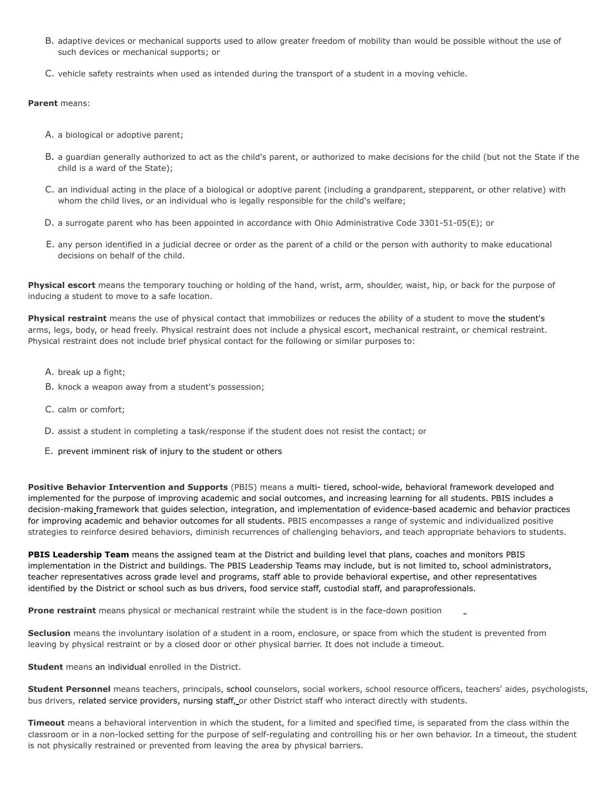- B. adaptive devices or mechanical supports used to allow greater freedom of mobility than would be possible without the use of such devices or mechanical supports; or
- C. vehicle safety restraints when used as intended during the transport of a student in a moving vehicle.

## **Parent** means:

- A. a biological or adoptive parent;
- B. a guardian generally authorized to act as the child's parent, or authorized to make decisions for the child (but not the State if the child is a ward of the State);
- C. an individual acting in the place of a biological or adoptive parent (including a grandparent, stepparent, or other relative) with whom the child lives, or an individual who is legally responsible for the child's welfare;
- D. a surrogate parent who has been appointed in accordance with Ohio Administrative Code 3301-51-05(E); or
- E. any person identified in a judicial decree or order as the parent of a child or the person with authority to make educational decisions on behalf of the child.

**Physical escort** means the temporary touching or holding of the hand, wrist, arm, shoulder, waist, hip, or back for the purpose of inducing a student to move to a safe location.

**Physical restraint** means the use of physical contact that immobilizes or reduces the ability of a student to move the student's arms, legs, body, or head freely. Physical restraint does not include a physical escort, mechanical restraint, or chemical restraint. Physical restraint does not include brief physical contact for the following or similar purposes to:

- A. break up a fight;
- B. knock a weapon away from a student's possession;
- C. calm or comfort;
- D. assist a student in completing a task/response if the student does not resist the contact; or
- E. prevent imminent risk of injury to the student or others

**Positive Behavior Intervention and Supports** (PBIS) means a multi- tiered, school-wide, behavioral framework developed and implemented for the purpose of improving academic and social outcomes, and increasing learning for all students. PBIS includes a decision-making framework that guides selection, integration, and implementation of evidence-based academic and behavior practices for improving academic and behavior outcomes for all students. PBIS encompasses a range of systemic and individualized positive strategies to reinforce desired behaviors, diminish recurrences of challenging behaviors, and teach appropriate behaviors to students.

**PBIS Leadership Team** means the assigned team at the District and building level that plans, coaches and monitors PBIS implementation in the District and buildings. The PBIS Leadership Teams may include, but is not limited to, school administrators, teacher representatives across grade level and programs, staff able to provide behavioral expertise, and other representatives identified by the District or school such as bus drivers, food service staff, custodial staff, and paraprofessionals.

**Prone restraint** means physical or mechanical restraint while the student is in the face-down position

**Seclusion** means the involuntary isolation of a student in a room, enclosure, or space from which the student is prevented from leaving by physical restraint or by a closed door or other physical barrier. It does not include a timeout.

**Student** means an individual enrolled in the District.

**Student Personnel** means teachers, principals, school counselors, social workers, school resource officers, teachers' aides, psychologists, bus drivers, related service providers, nursing staff, or other District staff who interact directly with students.

**Timeout** means a behavioral intervention in which the student, for a limited and specified time, is separated from the class within the classroom or in a non-locked setting for the purpose of self-regulating and controlling his or her own behavior. In a timeout, the student is not physically restrained or prevented from leaving the area by physical barriers.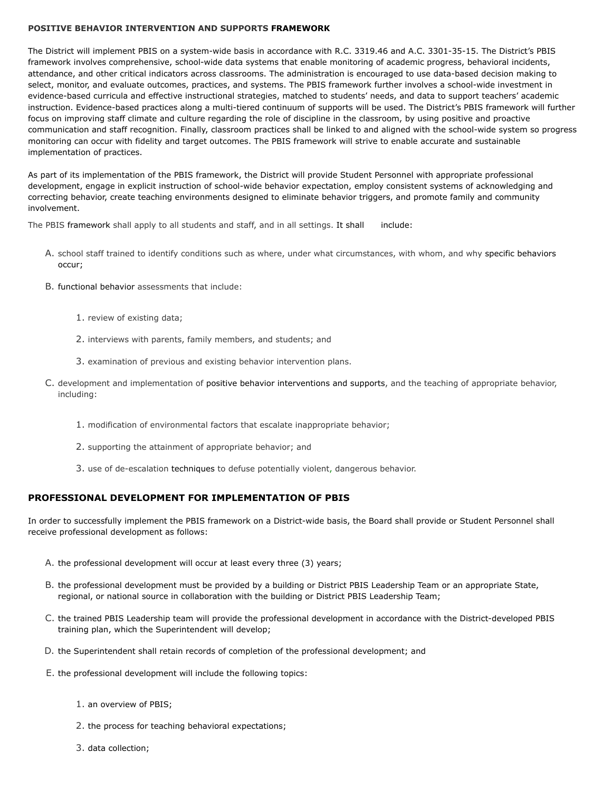## **POSITIVE BEHAVIOR INTERVENTION AND SUPPORTS FRAMEWORK**

The District will implement PBIS on a system-wide basis in accordance with R.C. 3319.46 and A.C. 3301-35-15. The District's PBIS framework involves comprehensive, school-wide data systems that enable monitoring of academic progress, behavioral incidents, attendance, and other critical indicators across classrooms. The administration is encouraged to use data-based decision making to select, monitor, and evaluate outcomes, practices, and systems. The PBIS framework further involves a school-wide investment in evidence-based curricula and effective instructional strategies, matched to students' needs, and data to support teachers' academic instruction. Evidence-based practices along a multi-tiered continuum of supports will be used. The District's PBIS framework will further focus on improving staff climate and culture regarding the role of discipline in the classroom, by using positive and proactive communication and staff recognition. Finally, classroom practices shall be linked to and aligned with the school-wide system so progress monitoring can occur with fidelity and target outcomes. The PBIS framework will strive to enable accurate and sustainable implementation of practices.

As part of its implementation of the PBIS framework, the District will provide Student Personnel with appropriate professional development, engage in explicit instruction of school-wide behavior expectation, employ consistent systems of acknowledging and correcting behavior, create teaching environments designed to eliminate behavior triggers, and promote family and community involvement.

The PBIS framework shall apply to all students and staff, and in all settings. It shall include:

- A. school staff trained to identify conditions such as where, under what circumstances, with whom, and why specific behaviors occur;
- B. functional behavior assessments that include:
	- 1. review of existing data;
	- 2. interviews with parents, family members, and students; and
	- 3. examination of previous and existing behavior intervention plans.
- C. development and implementation of positive behavior interventions and supports, and the teaching of appropriate behavior, including:
	- 1. modification of environmental factors that escalate inappropriate behavior;
	- 2. supporting the attainment of appropriate behavior; and
	- 3. use of de-escalation techniques to defuse potentially violent, dangerous behavior.

## **PROFESSIONAL DEVELOPMENT FOR IMPLEMENTATION OF PBIS**

In order to successfully implement the PBIS framework on a District-wide basis, the Board shall provide or Student Personnel shall receive professional development as follows:

- A. the professional development will occur at least every three (3) years;
- B. the professional development must be provided by a building or District PBIS Leadership Team or an appropriate State, regional, or national source in collaboration with the building or District PBIS Leadership Team;
- C. the trained PBIS Leadership team will provide the professional development in accordance with the District-developed PBIS training plan, which the Superintendent will develop;
- D. the Superintendent shall retain records of completion of the professional development; and
- E. the professional development will include the following topics:
	- 1. an overview of PBIS;
	- 2. the process for teaching behavioral expectations;
	- 3. data collection;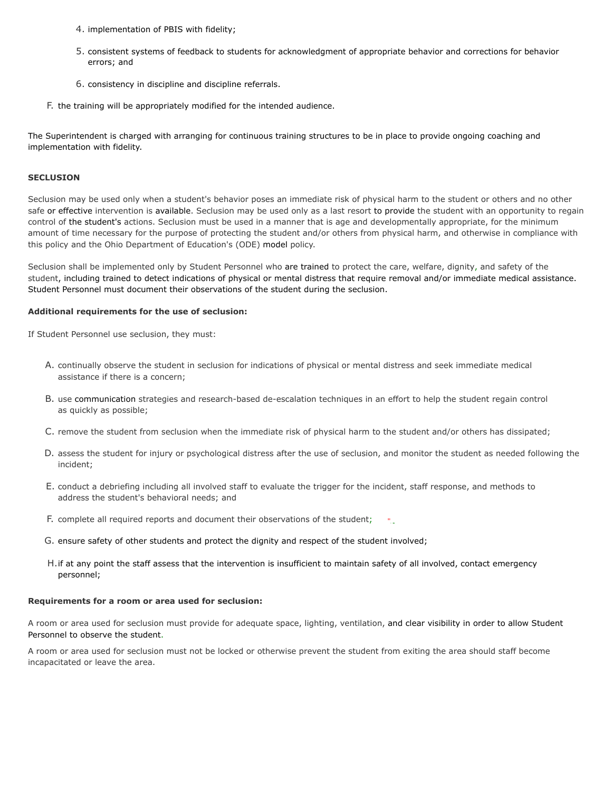- 4. implementation of PBIS with fidelity;
- 5. consistent systems of feedback to students for acknowledgment of appropriate behavior and corrections for behavior errors; and
- 6. consistency in discipline and discipline referrals.
- F. the training will be appropriately modified for the intended audience.

The Superintendent is charged with arranging for continuous training structures to be in place to provide ongoing coaching and implementation with fidelity.

#### **SECLUSION**

Seclusion may be used only when a student's behavior poses an immediate risk of physical harm to the student or others and no other safe or effective intervention is available. Seclusion may be used only as a last resort to provide the student with an opportunity to regain control of the student's actions. Seclusion must be used in a manner that is age and developmentally appropriate, for the minimum amount of time necessary for the purpose of protecting the student and/or others from physical harm, and otherwise in compliance with this policy and the Ohio Department of Education's (ODE) model policy.

Seclusion shall be implemented only by Student Personnel who are trained to protect the care, welfare, dignity, and safety of the student, including trained to detect indications of physical or mental distress that require removal and/or immediate medical assistance. Student Personnel must document their observations of the student during the seclusion.

## **Additional requirements for the use of seclusion:**

If Student Personnel use seclusion, they must:

- A. continually observe the student in seclusion for indications of physical or mental distress and seek immediate medical assistance if there is a concern;
- B. use communication strategies and research-based de-escalation techniques in an effort to help the student regain control as quickly as possible;
- C. remove the student from seclusion when the immediate risk of physical harm to the student and/or others has dissipated;
- D. assess the student for injury or psychological distress after the use of seclusion, and monitor the student as needed following the incident;
- E. conduct a debriefing including all involved staff to evaluate the trigger for the incident, staff response, and methods to address the student's behavioral needs; and
- F. complete all required reports and document their observations of the student;
- G. ensure safety of other students and protect the dignity and respect of the student involved;
- H.if at any point the staff assess that the intervention is insufficient to maintain safety of all involved, contact emergency personnel;

#### **Requirements for a room or area used for seclusion:**

A room or area used for seclusion must provide for adequate space, lighting, ventilation, and clear visibility in order to allow Student Personnel to observe the student.

A room or area used for seclusion must not be locked or otherwise prevent the student from exiting the area should staff become incapacitated or leave the area.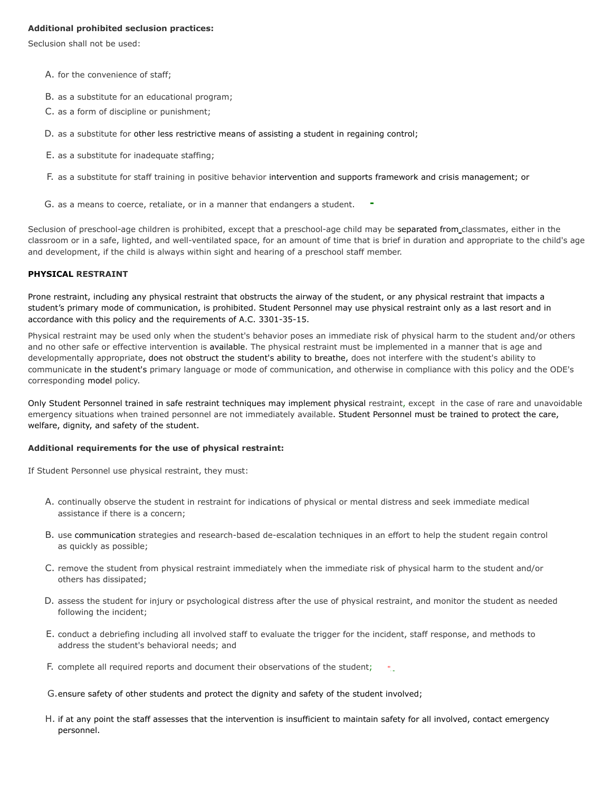## **Additional prohibited seclusion practices:**

Seclusion shall not be used:

- A. for the convenience of staff;
- B. as a substitute for an educational program;
- C. as a form of discipline or punishment;
- D. as a substitute for other less restrictive means of assisting a student in regaining control;
- E. as a substitute for inadequate staffing;
- F. as a substitute for staff training in positive behavior intervention and supports framework and crisis management; or
- G. as a means to coerce, retaliate, or in a manner that endangers a student.

Seclusion of preschool-age children is prohibited, except that a preschool-age child may be separated from classmates, either in the classroom or in a safe, lighted, and well-ventilated space, for an amount of time that is brief in duration and appropriate to the child's age and development, if the child is always within sight and hearing of a preschool staff member.

### **PHYSICAL RESTRAINT**

Prone restraint, including any physical restraint that obstructs the airway of the student, or any physical restraint that impacts a student's primary mode of communication, is prohibited. Student Personnel may use physical restraint only as a last resort and in accordance with this policy and the requirements of A.C. 3301-35-15.

Physical restraint may be used only when the student's behavior poses an immediate risk of physical harm to the student and/or others and no other safe or effective intervention is available. The physical restraint must be implemented in a manner that is age and developmentally appropriate, does not obstruct the student's ability to breathe, does not interfere with the student's ability to communicate in the student's primary language or mode of communication, and otherwise in compliance with this policy and the ODE's corresponding model policy.

Only Student Personnel trained in safe restraint techniques may implement physical restraint, except in the case of rare and unavoidable emergency situations when trained personnel are not immediately available. Student Personnel must be trained to protect the care, welfare, dignity, and safety of the student.

### **Additional requirements for the use of physical restraint:**

If Student Personnel use physical restraint, they must:

- A. continually observe the student in restraint for indications of physical or mental distress and seek immediate medical assistance if there is a concern;
- B. use communication strategies and research-based de-escalation techniques in an effort to help the student regain control as quickly as possible;
- C. remove the student from physical restraint immediately when the immediate risk of physical harm to the student and/or others has dissipated;
- D. assess the student for injury or psychological distress after the use of physical restraint, and monitor the student as needed following the incident;
- E. conduct a debriefing including all involved staff to evaluate the trigger for the incident, staff response, and methods to address the student's behavioral needs; and
- F. complete all required reports and document their observations of the student; ٠.
- G.ensure safety of other students and protect the dignity and safety of the student involved;
- H. if at any point the staff assesses that the intervention is insufficient to maintain safety for all involved, contact emergency personnel.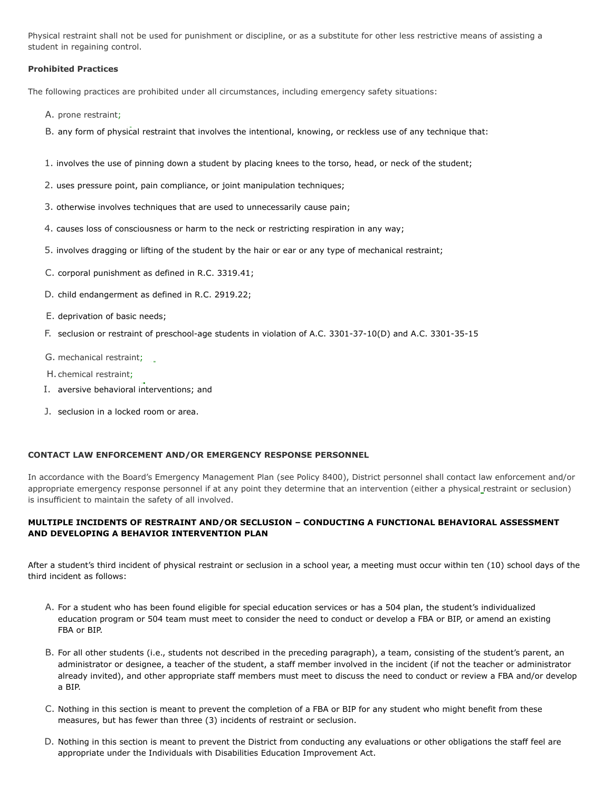Physical restraint shall not be used for punishment or discipline, or as a substitute for other less restrictive means of assisting a student in regaining control.

## **Prohibited Practices**

The following practices are prohibited under all circumstances, including emergency safety situations:

- A. prone restraint;
- B. any form of physical restraint that involves the intentional, knowing, or reckless use of any technique that:
- 1. involves the use of pinning down a student by placing knees to the torso, head, or neck of the student;
- 2. uses pressure point, pain compliance, or joint manipulation techniques;
- 3. otherwise involves techniques that are used to unnecessarily cause pain;
- 4. causes loss of consciousness or harm to the neck or restricting respiration in any way;
- 5. involves dragging or lifting of the student by the hair or ear or any type of mechanical restraint;
- C. corporal punishment as defined in R.C. 3319.41;
- D. child endangerment as defined in R.C. 2919.22;
- E. deprivation of basic needs;
- F. seclusion or restraint of preschool-age students in violation of A.C. 3301-37-10(D) and A.C. 3301-35-15
- G. mechanical restraint;
- H. chemical restraint;
- I. aversive behavioral interventions; and
- J. seclusion in a locked room or area.

### **CONTACT LAW ENFORCEMENT AND/OR EMERGENCY RESPONSE PERSONNEL**

In accordance with the Board's Emergency Management Plan (see Policy 8400), District personnel shall contact law enforcement and/or appropriate emergency response personnel if at any point they determine that an intervention (either a physical restraint or seclusion) is insufficient to maintain the safety of all involved.

# **MULTIPLE INCIDENTS OF RESTRAINT AND/OR SECLUSION – CONDUCTING A FUNCTIONAL BEHAVIORAL ASSESSMENT AND DEVELOPING A BEHAVIOR INTERVENTION PLAN**

After a student's third incident of physical restraint or seclusion in a school year, a meeting must occur within ten (10) school days of the third incident as follows:

- A. For a student who has been found eligible for special education services or has a 504 plan, the student's individualized education program or 504 team must meet to consider the need to conduct or develop a FBA or BIP, or amend an existing FBA or BIP.
- B. For all other students (i.e., students not described in the preceding paragraph), a team, consisting of the student's parent, an administrator or designee, a teacher of the student, a staff member involved in the incident (if not the teacher or administrator already invited), and other appropriate staff members must meet to discuss the need to conduct or review a FBA and/or develop a BIP.
- C. Nothing in this section is meant to prevent the completion of a FBA or BIP for any student who might benefit from these measures, but has fewer than three (3) incidents of restraint or seclusion.
- D. Nothing in this section is meant to prevent the District from conducting any evaluations or other obligations the staff feel are appropriate under the Individuals with Disabilities Education Improvement Act.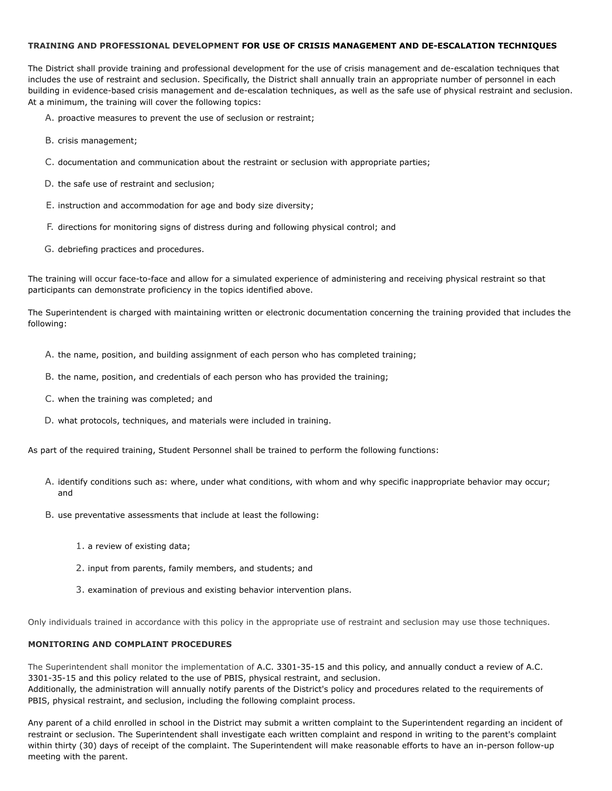## **TRAINING AND PROFESSIONAL DEVELOPMENT FOR USE OF CRISIS MANAGEMENT AND DE-ESCALATION TECHNIQUES**

The District shall provide training and professional development for the use of crisis management and de-escalation techniques that includes the use of restraint and seclusion. Specifically, the District shall annually train an appropriate number of personnel in each building in evidence-based crisis management and de-escalation techniques, as well as the safe use of physical restraint and seclusion. At a minimum, the training will cover the following topics:

- A. proactive measures to prevent the use of seclusion or restraint;
- B. crisis management;
- C. documentation and communication about the restraint or seclusion with appropriate parties;
- D. the safe use of restraint and seclusion;
- E. instruction and accommodation for age and body size diversity;
- F. directions for monitoring signs of distress during and following physical control; and
- G. debriefing practices and procedures.

The training will occur face-to-face and allow for a simulated experience of administering and receiving physical restraint so that participants can demonstrate proficiency in the topics identified above.

The Superintendent is charged with maintaining written or electronic documentation concerning the training provided that includes the following:

- A. the name, position, and building assignment of each person who has completed training;
- B. the name, position, and credentials of each person who has provided the training;
- C. when the training was completed; and
- D. what protocols, techniques, and materials were included in training.

As part of the required training, Student Personnel shall be trained to perform the following functions:

- A. identify conditions such as: where, under what conditions, with whom and why specific inappropriate behavior may occur; and
- B. use preventative assessments that include at least the following:
	- 1. a review of existing data;
	- 2. input from parents, family members, and students; and
	- 3. examination of previous and existing behavior intervention plans.

Only individuals trained in accordance with this policy in the appropriate use of restraint and seclusion may use those techniques.

## **MONITORING AND COMPLAINT PROCEDURES**

The Superintendent shall monitor the implementation of A.C. 3301-35-15 and this policy, and annually conduct a review of A.C. 3301-35-15 and this policy related to the use of PBIS, physical restraint, and seclusion. Additionally, the administration will annually notify parents of the District's policy and procedures related to the requirements of PBIS, physical restraint, and seclusion, including the following complaint process.

Any parent of a child enrolled in school in the District may submit a written complaint to the Superintendent regarding an incident of restraint or seclusion. The Superintendent shall investigate each written complaint and respond in writing to the parent's complaint within thirty (30) days of receipt of the complaint. The Superintendent will make reasonable efforts to have an in-person follow-up meeting with the parent.